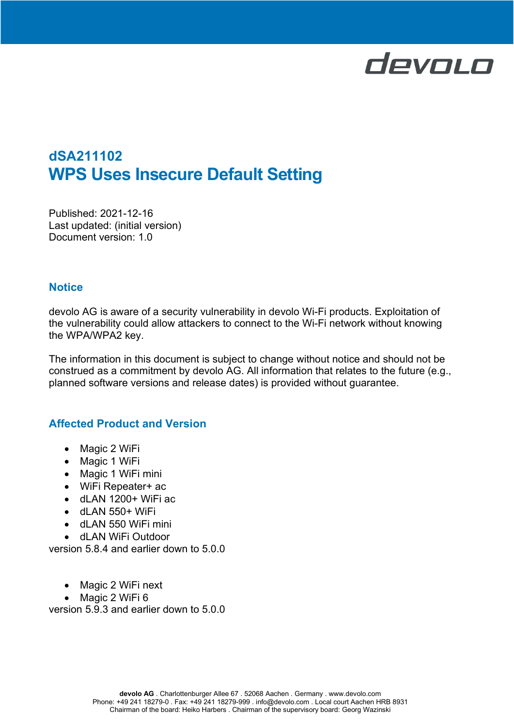# devolo

# dSA211102 WPS Uses Insecure Default Setting

Published: 2021-12-16 Last updated: (initial version) Document version: 1.0

#### **Notice**

devolo AG is aware of a security vulnerability in devolo Wi-Fi products. Exploitation of the vulnerability could allow attackers to connect to the Wi-Fi network without knowing the WPA/WPA2 key.

The information in this document is subject to change without notice and should not be construed as a commitment by devolo AG. All information that relates to the future (e.g., planned software versions and release dates) is provided without guarantee.

## Affected Product and Version

- Magic 2 WiFi
- Magic 1 WiFi
- Magic 1 WiFi mini
- WiFi Repeater+ ac
- $\bullet$  dLAN 1200+ WiFi ac
- dLAN 550+ WiFi
- dLAN 550 WiFi mini
- dl AN WiFi Outdoor

version 5.8.4 and earlier down to 5.0.0

- Magic 2 WiFi next
- Magic 2 WiFi 6

version 5.9.3 and earlier down to 5.0.0